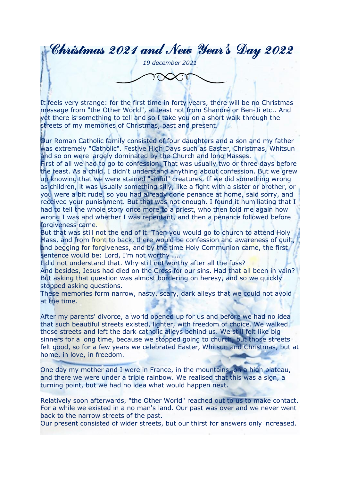Christmas 2021 and New Year's Day 2022

*19 december 2021*

It feels very strange: for the first time in forty years, there will be no Christmas message from "the Other World", at least not from Shanoré or Ben-Ji etc.. And yet there is something to tell and so I take you on a short walk through the streets of my memories of Christmas, past and present.

Our Roman Catholic family consisted of four daughters and a son and my father was extremely "Catholic". Festive High Days such as Easter, Christmas, Whitsun and so on were largely dominated by the Church and long Masses.

First of all we had to go to confession. That was usually two or three days before the feast. As a child, I didn't understand anything about confession. But we grew up knowing that we were stained "sinful" creatures. If we did something wrong as children, it was usually something silly, like a fight with a sister or brother, or you were a bit rude, so you had already done penance at home, said sorry, and received your punishment. But that was not enough. I found it humiliating that I had to tell the whole story once more to a priest, who then told me again how wrong I was and whether I was repentant, and then a penance followed before forgiveness came.

But that was still not the end of it. Then you would go to church to attend Holy Mass, and from front to back, there would be confession and awareness of guilt, and begging for forgiveness, and by the time Holy Communion came, the first sentence would be: Lord, I'm not worthy .....

I did not understand that. Why still not worthy after all the fuss?

And besides, Jesus had died on the Cross for our sins. Had that all been in vain? But asking that question was almost bordering on heresy, and so we quickly stopped asking questions.

These memories form narrow, nasty, scary, dark alleys that we could not avoid at the time.

After my parents' divorce, a world opened up for us and before we had no idea that such beautiful streets existed, lighter, with freedom of choice. We walked those streets and left the dark catholic alleys behind us. We still felt like big sinners for a long time, because we stopped going to church, but those streets felt good, so for a few years we celebrated Easter, Whitsun and Christmas, but at home, in love, in freedom.

One day my mother and I were in France, in the mountains, on a high plateau, and there we were under a triple rainbow. We realised that this was a sign, a turning point, but we had no idea what would happen next.

Relatively soon afterwards, "the Other World" reached out to us to make contact. For a while we existed in a no man's land. Our past was over and we never went back to the narrow streets of the past.

Our present consisted of wider streets, but our thirst for answers only increased.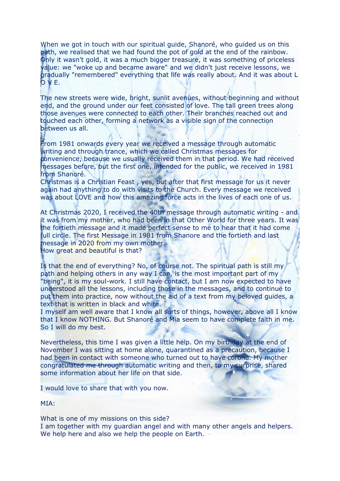When we got in touch with our spiritual guide, Shanoré, who guided us on this path, we realised that we had found the pot of gold at the end of the rainbow. Only it wasn't gold, it was a much bigger treasure, it was something of priceless value: we "woke up and became aware" and we didn't just receive lessons, we gradually "remembered" everything that life was really about. And it was about L O V E.

The new streets were wide, bright, sunlit avenues, without beginning and without end, and the ground under our feet consisted of love. The tall green trees along those avenues were connected to each other. Their branches reached out and touched each other, forming a network as a visible sign of the connection between us all.

From 1981 onwards every year we received a message through automatic writing and through trance, which we called Christmas messages for convenience, because we usually received them in that period. We had received messages before, but the first one, intended for the public, we received in 1981 from Shanoré.

Christmas is a Christian Feast , yes, but after that first message for us it never again had anything to do with visits to the Church. Every message we received was about LOVE and how this amazing force acts in the lives of each one of us.

At Christmas 2020, I received the 40th message through automatic writing - and it was from my mother, who had been in that Other World for three years. It was the fortieth message and it made perfect sense to me to hear that it had come full circle. The first Message in 1981 from Shanore and the fortieth and last message in 2020 from my own mother. How great and beautiful is that?

Is that the end of everything? No, of course not. The spiritual path is still my path and helping others in any way I can, is the most important part of my "being", it is my soul-work. I still have contact, but I am now expected to have understood all the lessons, including those in the messages, and to continue to put them into practice, now without the aid of a text from my beloved guides, a text that is written in black and white.

I myself am well aware that I know all sorts of things, however, above all I know that I know NOTHING. But Shanoré and Mia seem to have complete faith in me. So I will do my best.

Nevertheless, this time I was given a little help. On my birthday at the end of November I was sitting at home alone, quarantined as a precaution, because I had been in contact with someone who turned out to have corona. My mother congratulated me through automatic writing and then, to my surprise, shared some information about her life on that side.

I would love to share that with you now.

MIA:

What is one of my missions on this side? I am together with my guardian angel and with many other angels and helpers. We help here and also we help the people on Earth.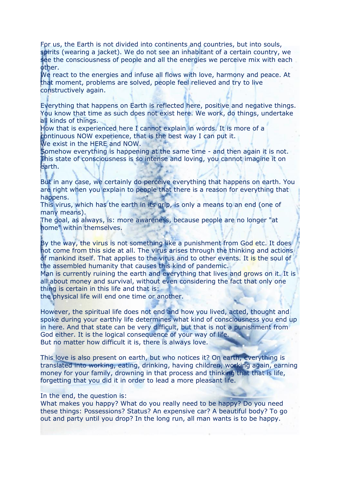For us, the Earth is not divided into continents and countries, but into souls, spirits (wearing a jacket). We do not see an inhabitant of a certain country, we see the consciousness of people and all the energies we perceive mix with each other.

We react to the energies and infuse all flows with love, harmony and peace. At that moment, problems are solved, people feel relieved and try to live constructively again.

Everything that happens on Earth is reflected here, positive and negative things. You know that time as such does not exist here. We work, do things, undertake all kinds of things.

How that is experienced here I cannot explain in words. It is more of a continuous NOW experience, that is the best way I can put it.

We exist in the HERE and NOW.

Somehow everything is happening at the same time - and then again it is not. This state of consciousness is so intense and loving, you cannot imagine it on earth.

But in any case, we certainly do perceive everything that happens on earth. You are right when you explain to people that there is a reason for everything that happens.

This virus, which has the earth in its grip, is only a means to an end (one of many means).

The goal, as always, is: more awareness, because people are no longer "at home" within themselves.

By the way, the virus is not something like a punishment from God etc. It does not come from this side at all. The virus arises through the thinking and actions of mankind itself. That applies to the virus and to other events. It is the soul of the assembled humanity that causes this kind of pandemic.

Man is currently ruining the earth and everything that lives and grows on it. It is all about money and survival, without even considering the fact that only one thing is certain in this life and that is:

the physical life will end one time or another.

However, the spiritual life does not end and how you lived, acted, thought and spoke during your earthly life determines what kind of consciousness you end up in here. And that state can be very difficult, but that is not a punishment from God either. It is the logical consequence of your way of life. But no matter how difficult it is, there is always love.

This love is also present on earth, but who notices it? On earth, everything is translated into working, eating, drinking, having children, working again, earning money for your family, drowning in that process and thinking that that is life, forgetting that you did it in order to lead a more pleasant life.

## In the end, the question is:

What makes you happy? What do you really need to be happy? Do you need these things: Possessions? Status? An expensive car? A beautiful body? To go out and party until you drop? In the long run, all man wants is to be happy.